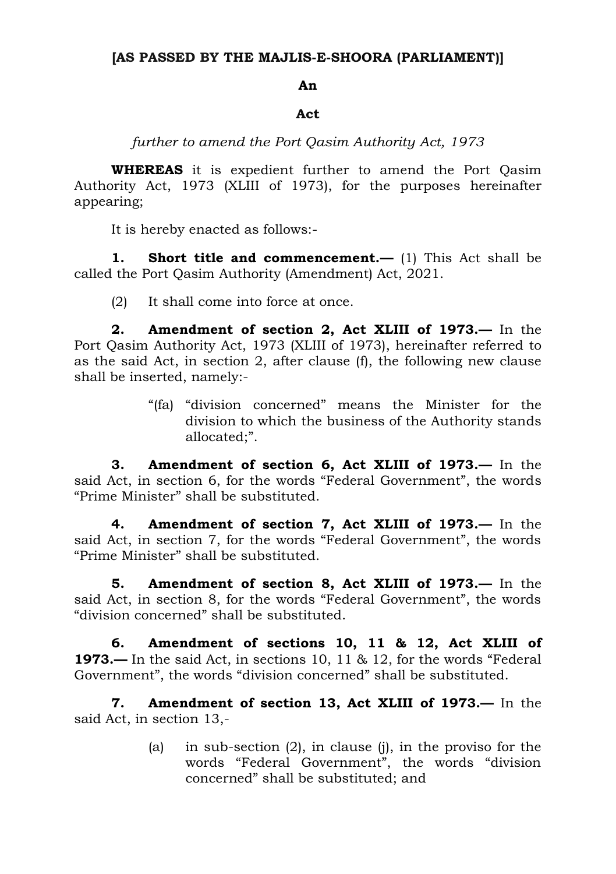## **[AS PASSED BY THE MAJLIS-E-SHOORA (PARLIAMENT)]**

## **An**

## **Act**

*further to amend the Port Qasim Authority Act, 1973*

**WHEREAS** it is expedient further to amend the Port Qasim Authority Act, 1973 (XLIII of 1973), for the purposes hereinafter appearing;

It is hereby enacted as follows:-

**1. Short title and commencement.—** (1) This Act shall be called the Port Qasim Authority (Amendment) Act, 2021.

(2) It shall come into force at once.

**2. Amendment of section 2, Act XLIII of 1973.—** In the Port Qasim Authority Act, 1973 (XLIII of 1973), hereinafter referred to as the said Act, in section 2, after clause (f), the following new clause shall be inserted, namely:-

> "(fa) "division concerned" means the Minister for the division to which the business of the Authority stands allocated;".

**3. Amendment of section 6, Act XLIII of 1973.—** In the said Act, in section 6, for the words "Federal Government", the words "Prime Minister" shall be substituted.

**4. Amendment of section 7, Act XLIII of 1973.—** In the said Act, in section 7, for the words "Federal Government", the words "Prime Minister" shall be substituted.

**5. Amendment of section 8, Act XLIII of 1973.—** In the said Act, in section 8, for the words "Federal Government", the words "division concerned" shall be substituted.

**6. Amendment of sections 10, 11 & 12, Act XLIII of 1973.—** In the said Act, in sections 10, 11 & 12, for the words "Federal Government", the words "division concerned" shall be substituted.

**7. Amendment of section 13, Act XLIII of 1973.—** In the said Act, in section 13,-

> (a) in sub-section (2), in clause (j), in the proviso for the words "Federal Government", the words "division concerned" shall be substituted; and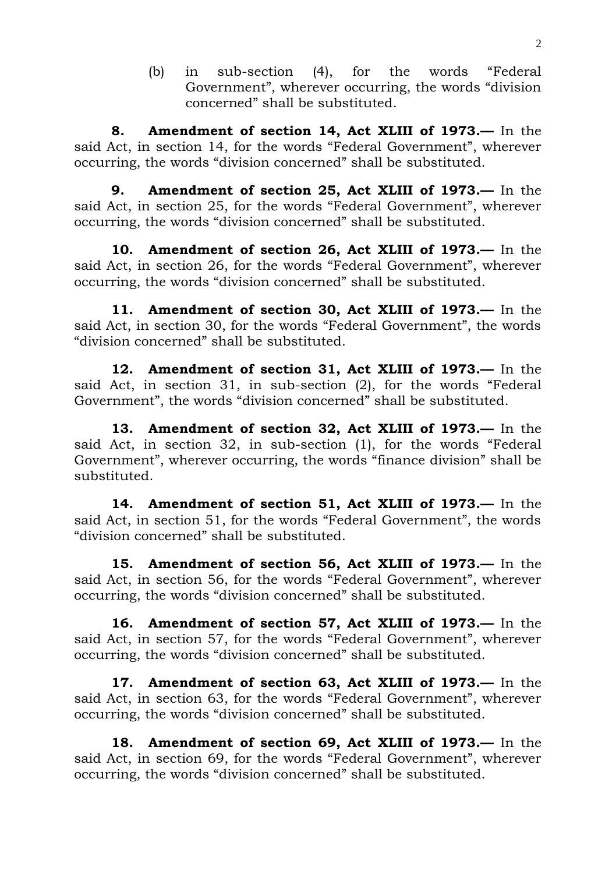(b) in sub-section (4), for the words "Federal Government", wherever occurring, the words "division concerned" shall be substituted.

**8. Amendment of section 14, Act XLIII of 1973.—** In the said Act, in section 14, for the words "Federal Government", wherever occurring, the words "division concerned" shall be substituted.

**9. Amendment of section 25, Act XLIII of 1973.—** In the said Act, in section 25, for the words "Federal Government", wherever occurring, the words "division concerned" shall be substituted.

**10. Amendment of section 26, Act XLIII of 1973.—** In the said Act, in section 26, for the words "Federal Government", wherever occurring, the words "division concerned" shall be substituted.

**11. Amendment of section 30, Act XLIII of 1973.—** In the said Act, in section 30, for the words "Federal Government", the words "division concerned" shall be substituted.

**12. Amendment of section 31, Act XLIII of 1973.—** In the said Act, in section 31, in sub-section (2), for the words "Federal Government", the words "division concerned" shall be substituted.

**13. Amendment of section 32, Act XLIII of 1973.—** In the said Act, in section 32, in sub-section (1), for the words "Federal Government", wherever occurring, the words "finance division" shall be substituted.

**14. Amendment of section 51, Act XLIII of 1973.—** In the said Act, in section 51, for the words "Federal Government", the words "division concerned" shall be substituted.

**15. Amendment of section 56, Act XLIII of 1973.—** In the said Act, in section 56, for the words "Federal Government", wherever occurring, the words "division concerned" shall be substituted.

**16. Amendment of section 57, Act XLIII of 1973.—** In the said Act, in section 57, for the words "Federal Government", wherever occurring, the words "division concerned" shall be substituted.

**17. Amendment of section 63, Act XLIII of 1973.—** In the said Act, in section 63, for the words "Federal Government", wherever occurring, the words "division concerned" shall be substituted.

**18. Amendment of section 69, Act XLIII of 1973.—** In the said Act, in section 69, for the words "Federal Government", wherever occurring, the words "division concerned" shall be substituted.